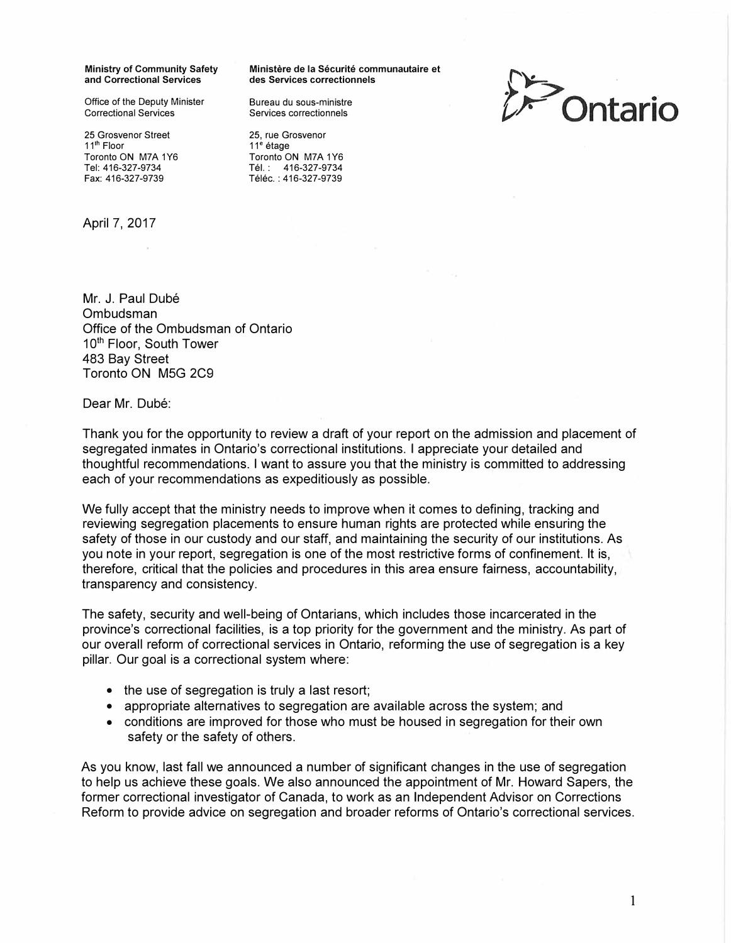Office of the Deputy Minister Bureau du sous-ministre<br>Correctional Services **Bureau Services** correctionnels

25 Grosvenor Street 25, rue Grosvenor<br>
11<sup>th</sup> Floor<br>
11<sup>th</sup> Floor Toronto ON M7A 1Y6<br>Tel: 416-327-9734 Tel: 416-327-9734 Tel.: 416-327-9734

April 7, 2017

**Ministry of Community Safety Ministere de la Securite communautaire et and Correctional Services des Services correctionnels** 

Services correctionnels

11<sup>e</sup> étage<br>Toronto ON M7A 1Y6 Téléc.: 416-327-9739



Mr. J. Paul Dubé Ombudsman Office of the Ombudsman of Ontario 10<sup>th</sup> Floor, South Tower 483 Bay Street Toronto ON MSG 2C9

Dear Mr. Dubé:

Thank you for the opportunity to review a draft of your report on the admission and placement of segregated inmates in Ontario's correctional institutions. I appreciate your detailed and thoughtful recommendations. I want to assure you that the ministry is committed to addressing each of your recommendations as expeditiously as possible.

We fully accept that the ministry needs to improve when it comes to defining, tracking and reviewing segregation placements to ensure human rights are protected while ensuring the safety of those in our custody and our staff, and maintaining the security of our institutions. As you note in your report, segregation is one of the most restrictive forms of confinement. It is, therefore, critical that the policies and procedures in this area ensure fairness, accountability, transparency and consistency.

The safety, security and well-being of Ontarians, which includes those incarcerated in the province's correctional facilities, is a top priority for the government and the ministry. As part of our overall reform of correctional services in Ontario, reforming the use of segregation is a key pillar. Our goal is a correctional system where:

- the use of segregation is truly a last resort;
- appropriate alternatives to segregation are available across the system; and
- conditions are improved for those who must be housed in segregation for their own safety or the safety of others.

As you know, last fall we announced a number of significant changes in the use of segregation to help us achieve these goals. We also announced the appointment of Mr. Howard Sapers, the former correctional investigator of Canada, to work as an Independent Advisor on Corrections Reform to provide advice on segregation and broader reforms of Ontario's correctional services.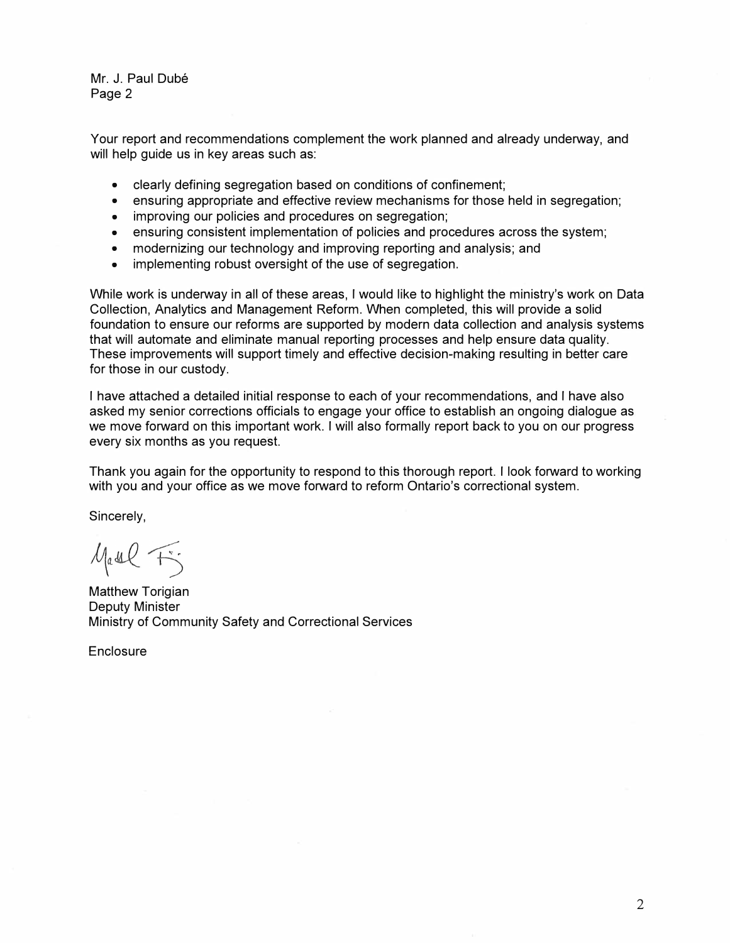Mr. J. Paul Dubé Page 2

Your report and recommendations complement the work planned and already underway, and will help guide us in key areas such as:

- clearly defining segregation based on conditions of confinement;
- ensuring appropriate and effective review mechanisms for those held in segregation;
- improving our policies and procedures on segregation;
- ensuring consistent implementation of policies and procedures across the system;
- modernizing our technology and improving reporting and analysis; and
- implementing robust oversight of the use of segregation.

While work is underway in all of these areas, I would like to highlight the ministry's work on Data Collection, Analytics and Management Reform. When completed, this will provide a solid foundation to ensure our reforms are supported by modern data collection and analysis systems that will automate and eliminate manual reporting processes and help ensure data quality. These improvements will support timely and effective decision-making resulting in better care for those in our custody.

I have attached a detailed initial response to each of your recommendations, and I have also asked my senior corrections officials to engage your office to establish an ongoing dialogue as we move forward on this important work. I will also formally report back to you on our progress every six months as you request.

Thank you again for the opportunity to respond to this thorough report. I look forward to working with you and your office as we move forward to reform Ontario's correctional system.

Sincerely,

 $M_{a}$  as  $C_{f}$ 

Matthew Torigian Deputy Minister Ministry of Community Safety and Correctional Services

Enclosure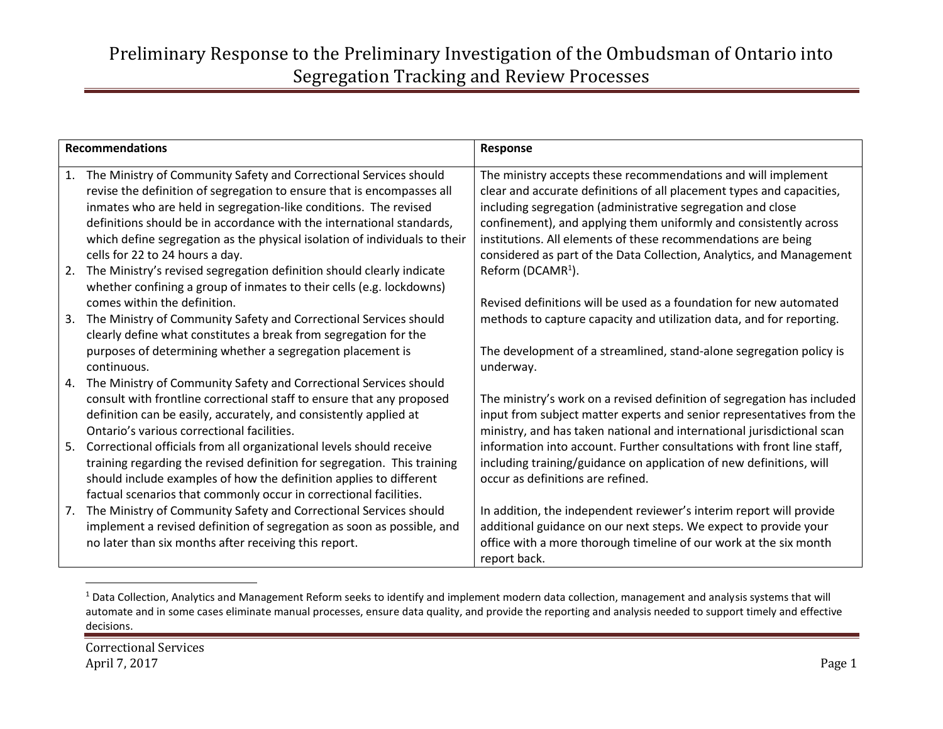| <b>Recommendations</b> |                                                                                                                                                                                                                                                                                                                                                                        | Response                                                                                                                                                                                                                                                                                                                                    |
|------------------------|------------------------------------------------------------------------------------------------------------------------------------------------------------------------------------------------------------------------------------------------------------------------------------------------------------------------------------------------------------------------|---------------------------------------------------------------------------------------------------------------------------------------------------------------------------------------------------------------------------------------------------------------------------------------------------------------------------------------------|
| 1.                     | The Ministry of Community Safety and Correctional Services should<br>revise the definition of segregation to ensure that is encompasses all<br>inmates who are held in segregation-like conditions. The revised<br>definitions should be in accordance with the international standards,<br>which define segregation as the physical isolation of individuals to their | The ministry accepts these recommendations and will implement<br>clear and accurate definitions of all placement types and capacities,<br>including segregation (administrative segregation and close<br>confinement), and applying them uniformly and consistently across<br>institutions. All elements of these recommendations are being |
| 2.                     | cells for 22 to 24 hours a day.<br>The Ministry's revised segregation definition should clearly indicate<br>whether confining a group of inmates to their cells (e.g. lockdowns)                                                                                                                                                                                       | considered as part of the Data Collection, Analytics, and Management<br>Reform (DCAMR <sup>1</sup> ).                                                                                                                                                                                                                                       |
| 3.                     | comes within the definition.<br>The Ministry of Community Safety and Correctional Services should                                                                                                                                                                                                                                                                      | Revised definitions will be used as a foundation for new automated<br>methods to capture capacity and utilization data, and for reporting.                                                                                                                                                                                                  |
|                        | clearly define what constitutes a break from segregation for the                                                                                                                                                                                                                                                                                                       |                                                                                                                                                                                                                                                                                                                                             |
|                        | purposes of determining whether a segregation placement is<br>continuous.                                                                                                                                                                                                                                                                                              | The development of a streamlined, stand-alone segregation policy is<br>underway.                                                                                                                                                                                                                                                            |
| 4.                     | The Ministry of Community Safety and Correctional Services should<br>consult with frontline correctional staff to ensure that any proposed<br>definition can be easily, accurately, and consistently applied at<br>Ontario's various correctional facilities.                                                                                                          | The ministry's work on a revised definition of segregation has included<br>input from subject matter experts and senior representatives from the<br>ministry, and has taken national and international jurisdictional scan                                                                                                                  |
| 5.                     | Correctional officials from all organizational levels should receive<br>training regarding the revised definition for segregation. This training<br>should include examples of how the definition applies to different<br>factual scenarios that commonly occur in correctional facilities.                                                                            | information into account. Further consultations with front line staff,<br>including training/guidance on application of new definitions, will<br>occur as definitions are refined.                                                                                                                                                          |
| 7.                     | The Ministry of Community Safety and Correctional Services should                                                                                                                                                                                                                                                                                                      | In addition, the independent reviewer's interim report will provide                                                                                                                                                                                                                                                                         |
|                        | implement a revised definition of segregation as soon as possible, and<br>no later than six months after receiving this report.                                                                                                                                                                                                                                        | additional guidance on our next steps. We expect to provide your<br>office with a more thorough timeline of our work at the six month<br>report back.                                                                                                                                                                                       |

<sup>&</sup>lt;sup>1</sup> Data Collection, Analytics and Management Reform seeks to identify and implement modern data collection, management and analysis systems that will automate and in some cases eliminate manual processes, ensure data quality, and provide the reporting and analysis needed to support timely and effective decisions.

 $\overline{\phantom{a}}$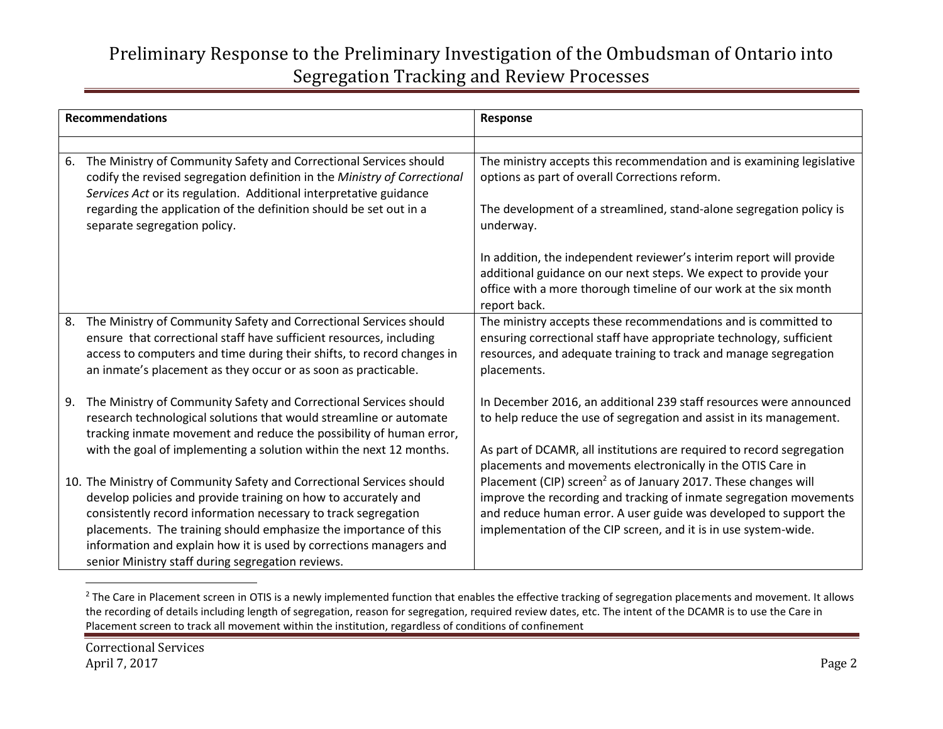|    | <b>Recommendations</b>                                                                                                                                                                                                                                                                                                                                                                                   | Response                                                                                                                                                                                                                                                                                                                                                |
|----|----------------------------------------------------------------------------------------------------------------------------------------------------------------------------------------------------------------------------------------------------------------------------------------------------------------------------------------------------------------------------------------------------------|---------------------------------------------------------------------------------------------------------------------------------------------------------------------------------------------------------------------------------------------------------------------------------------------------------------------------------------------------------|
|    |                                                                                                                                                                                                                                                                                                                                                                                                          |                                                                                                                                                                                                                                                                                                                                                         |
| 6. | The Ministry of Community Safety and Correctional Services should<br>codify the revised segregation definition in the Ministry of Correctional<br>Services Act or its regulation. Additional interpretative guidance                                                                                                                                                                                     | The ministry accepts this recommendation and is examining legislative<br>options as part of overall Corrections reform.                                                                                                                                                                                                                                 |
|    | regarding the application of the definition should be set out in a<br>separate segregation policy.                                                                                                                                                                                                                                                                                                       | The development of a streamlined, stand-alone segregation policy is<br>underway.                                                                                                                                                                                                                                                                        |
|    |                                                                                                                                                                                                                                                                                                                                                                                                          | In addition, the independent reviewer's interim report will provide<br>additional guidance on our next steps. We expect to provide your<br>office with a more thorough timeline of our work at the six month<br>report back.                                                                                                                            |
| 8. | The Ministry of Community Safety and Correctional Services should<br>ensure that correctional staff have sufficient resources, including<br>access to computers and time during their shifts, to record changes in<br>an inmate's placement as they occur or as soon as practicable.                                                                                                                     | The ministry accepts these recommendations and is committed to<br>ensuring correctional staff have appropriate technology, sufficient<br>resources, and adequate training to track and manage segregation<br>placements.                                                                                                                                |
| 9. | The Ministry of Community Safety and Correctional Services should<br>research technological solutions that would streamline or automate<br>tracking inmate movement and reduce the possibility of human error,<br>with the goal of implementing a solution within the next 12 months.                                                                                                                    | In December 2016, an additional 239 staff resources were announced<br>to help reduce the use of segregation and assist in its management.<br>As part of DCAMR, all institutions are required to record segregation                                                                                                                                      |
|    | 10. The Ministry of Community Safety and Correctional Services should<br>develop policies and provide training on how to accurately and<br>consistently record information necessary to track segregation<br>placements. The training should emphasize the importance of this<br>information and explain how it is used by corrections managers and<br>senior Ministry staff during segregation reviews. | placements and movements electronically in the OTIS Care in<br>Placement (CIP) screen <sup>2</sup> as of January 2017. These changes will<br>improve the recording and tracking of inmate segregation movements<br>and reduce human error. A user guide was developed to support the<br>implementation of the CIP screen, and it is in use system-wide. |

<sup>&</sup>lt;sup>2</sup> The Care in Placement screen in OTIS is a newly implemented function that enables the effective tracking of segregation placements and movement. It allows the recording of details including length of segregation, reason for segregation, required review dates, etc. The intent of the DCAMR is to use the Care in Placement screen to track all movement within the institution, regardless of conditions of confinement

 $\overline{\phantom{a}}$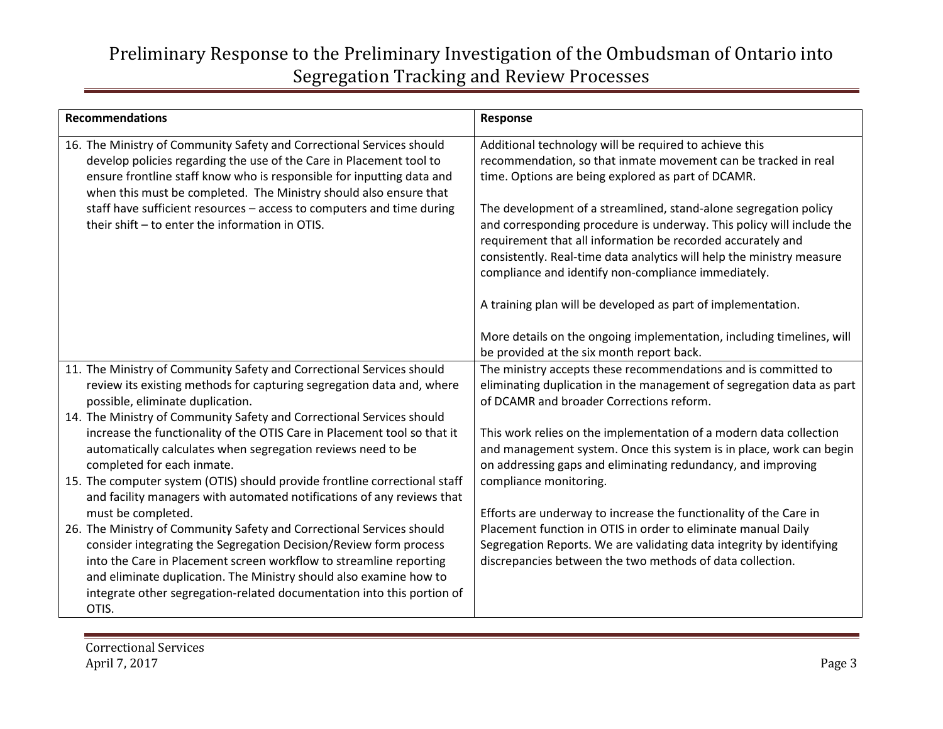| <b>Recommendations</b>                                                                                                                                                                                                                                                                                                                                                                                                 | Response                                                                                                                                                                                                                                                                                                                                                                                                                                                                                                                                                                                                                                                            |
|------------------------------------------------------------------------------------------------------------------------------------------------------------------------------------------------------------------------------------------------------------------------------------------------------------------------------------------------------------------------------------------------------------------------|---------------------------------------------------------------------------------------------------------------------------------------------------------------------------------------------------------------------------------------------------------------------------------------------------------------------------------------------------------------------------------------------------------------------------------------------------------------------------------------------------------------------------------------------------------------------------------------------------------------------------------------------------------------------|
| 16. The Ministry of Community Safety and Correctional Services should<br>develop policies regarding the use of the Care in Placement tool to<br>ensure frontline staff know who is responsible for inputting data and<br>when this must be completed. The Ministry should also ensure that<br>staff have sufficient resources - access to computers and time during<br>their shift - to enter the information in OTIS. | Additional technology will be required to achieve this<br>recommendation, so that inmate movement can be tracked in real<br>time. Options are being explored as part of DCAMR.<br>The development of a streamlined, stand-alone segregation policy<br>and corresponding procedure is underway. This policy will include the<br>requirement that all information be recorded accurately and<br>consistently. Real-time data analytics will help the ministry measure<br>compliance and identify non-compliance immediately.<br>A training plan will be developed as part of implementation.<br>More details on the ongoing implementation, including timelines, will |
|                                                                                                                                                                                                                                                                                                                                                                                                                        | be provided at the six month report back.                                                                                                                                                                                                                                                                                                                                                                                                                                                                                                                                                                                                                           |
| 11. The Ministry of Community Safety and Correctional Services should<br>review its existing methods for capturing segregation data and, where<br>possible, eliminate duplication.                                                                                                                                                                                                                                     | The ministry accepts these recommendations and is committed to<br>eliminating duplication in the management of segregation data as part<br>of DCAMR and broader Corrections reform.                                                                                                                                                                                                                                                                                                                                                                                                                                                                                 |
| 14. The Ministry of Community Safety and Correctional Services should<br>increase the functionality of the OTIS Care in Placement tool so that it<br>automatically calculates when segregation reviews need to be<br>completed for each inmate.<br>15. The computer system (OTIS) should provide frontline correctional staff                                                                                          | This work relies on the implementation of a modern data collection<br>and management system. Once this system is in place, work can begin<br>on addressing gaps and eliminating redundancy, and improving<br>compliance monitoring.                                                                                                                                                                                                                                                                                                                                                                                                                                 |
| and facility managers with automated notifications of any reviews that<br>must be completed.                                                                                                                                                                                                                                                                                                                           | Efforts are underway to increase the functionality of the Care in                                                                                                                                                                                                                                                                                                                                                                                                                                                                                                                                                                                                   |
| 26. The Ministry of Community Safety and Correctional Services should<br>consider integrating the Segregation Decision/Review form process<br>into the Care in Placement screen workflow to streamline reporting<br>and eliminate duplication. The Ministry should also examine how to<br>integrate other segregation-related documentation into this portion of<br>OTIS.                                              | Placement function in OTIS in order to eliminate manual Daily<br>Segregation Reports. We are validating data integrity by identifying<br>discrepancies between the two methods of data collection.                                                                                                                                                                                                                                                                                                                                                                                                                                                                  |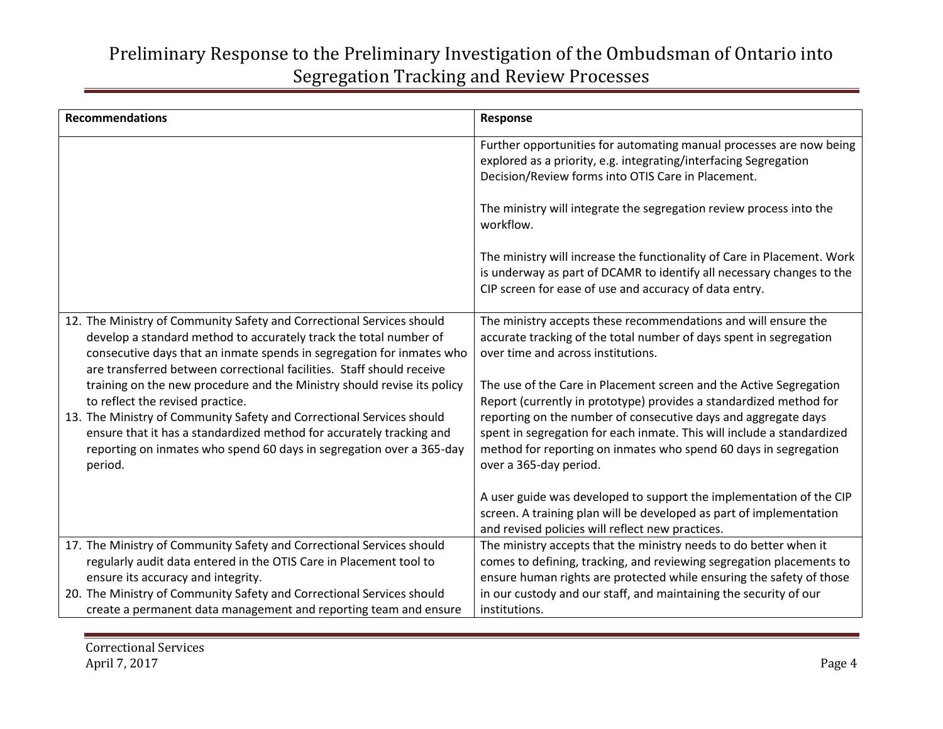| <b>Recommendations</b>                                                                                                                                                                                                                                                                       | Response                                                                                                                                                                                                                               |
|----------------------------------------------------------------------------------------------------------------------------------------------------------------------------------------------------------------------------------------------------------------------------------------------|----------------------------------------------------------------------------------------------------------------------------------------------------------------------------------------------------------------------------------------|
|                                                                                                                                                                                                                                                                                              | Further opportunities for automating manual processes are now being<br>explored as a priority, e.g. integrating/interfacing Segregation<br>Decision/Review forms into OTIS Care in Placement.                                          |
|                                                                                                                                                                                                                                                                                              | The ministry will integrate the segregation review process into the<br>workflow.                                                                                                                                                       |
|                                                                                                                                                                                                                                                                                              | The ministry will increase the functionality of Care in Placement. Work<br>is underway as part of DCAMR to identify all necessary changes to the<br>CIP screen for ease of use and accuracy of data entry.                             |
| 12. The Ministry of Community Safety and Correctional Services should<br>develop a standard method to accurately track the total number of<br>consecutive days that an inmate spends in segregation for inmates who<br>are transferred between correctional facilities. Staff should receive | The ministry accepts these recommendations and will ensure the<br>accurate tracking of the total number of days spent in segregation<br>over time and across institutions.                                                             |
| training on the new procedure and the Ministry should revise its policy<br>to reflect the revised practice.                                                                                                                                                                                  | The use of the Care in Placement screen and the Active Segregation<br>Report (currently in prototype) provides a standardized method for                                                                                               |
| 13. The Ministry of Community Safety and Correctional Services should<br>ensure that it has a standardized method for accurately tracking and<br>reporting on inmates who spend 60 days in segregation over a 365-day<br>period.                                                             | reporting on the number of consecutive days and aggregate days<br>spent in segregation for each inmate. This will include a standardized<br>method for reporting on inmates who spend 60 days in segregation<br>over a 365-day period. |
|                                                                                                                                                                                                                                                                                              | A user guide was developed to support the implementation of the CIP<br>screen. A training plan will be developed as part of implementation<br>and revised policies will reflect new practices.                                         |
| 17. The Ministry of Community Safety and Correctional Services should<br>regularly audit data entered in the OTIS Care in Placement tool to                                                                                                                                                  | The ministry accepts that the ministry needs to do better when it<br>comes to defining, tracking, and reviewing segregation placements to                                                                                              |
| ensure its accuracy and integrity.<br>20. The Ministry of Community Safety and Correctional Services should<br>create a permanent data management and reporting team and ensure                                                                                                              | ensure human rights are protected while ensuring the safety of those<br>in our custody and our staff, and maintaining the security of our<br>institutions.                                                                             |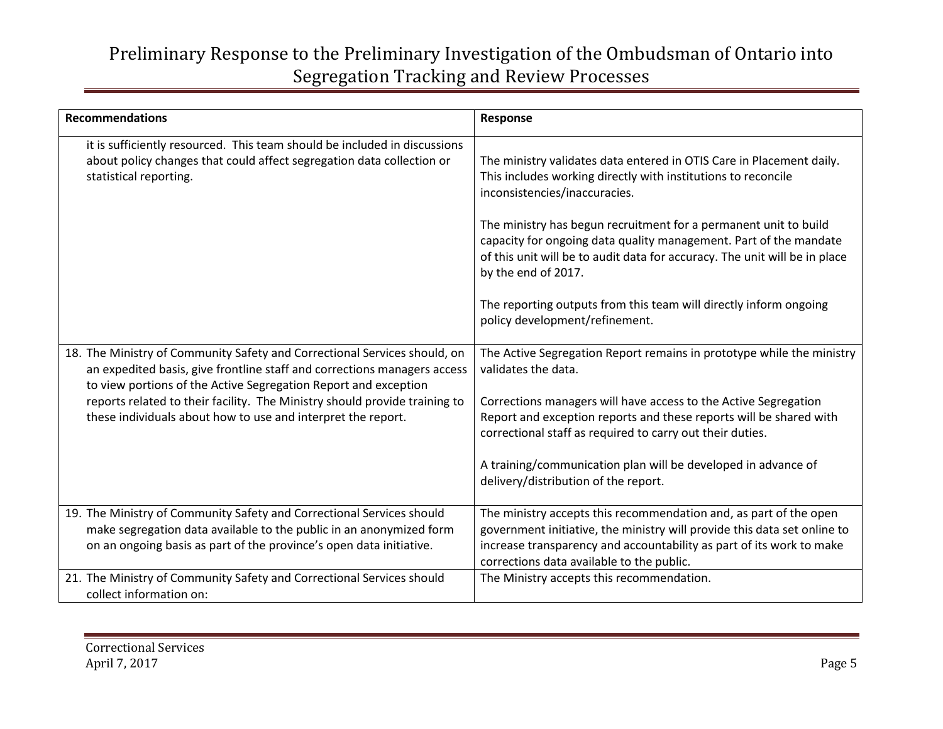| <b>Recommendations</b>                                                                                                                                                                                                                                                                                                                                                 | Response                                                                                                                                                                                                                                                                                                                                                                                                                                                                                                                    |
|------------------------------------------------------------------------------------------------------------------------------------------------------------------------------------------------------------------------------------------------------------------------------------------------------------------------------------------------------------------------|-----------------------------------------------------------------------------------------------------------------------------------------------------------------------------------------------------------------------------------------------------------------------------------------------------------------------------------------------------------------------------------------------------------------------------------------------------------------------------------------------------------------------------|
| it is sufficiently resourced. This team should be included in discussions<br>about policy changes that could affect segregation data collection or<br>statistical reporting.                                                                                                                                                                                           | The ministry validates data entered in OTIS Care in Placement daily.<br>This includes working directly with institutions to reconcile<br>inconsistencies/inaccuracies.<br>The ministry has begun recruitment for a permanent unit to build<br>capacity for ongoing data quality management. Part of the mandate<br>of this unit will be to audit data for accuracy. The unit will be in place<br>by the end of 2017.<br>The reporting outputs from this team will directly inform ongoing<br>policy development/refinement. |
| 18. The Ministry of Community Safety and Correctional Services should, on<br>an expedited basis, give frontline staff and corrections managers access<br>to view portions of the Active Segregation Report and exception<br>reports related to their facility. The Ministry should provide training to<br>these individuals about how to use and interpret the report. | The Active Segregation Report remains in prototype while the ministry<br>validates the data.<br>Corrections managers will have access to the Active Segregation<br>Report and exception reports and these reports will be shared with<br>correctional staff as required to carry out their duties.<br>A training/communication plan will be developed in advance of<br>delivery/distribution of the report.                                                                                                                 |
| 19. The Ministry of Community Safety and Correctional Services should<br>make segregation data available to the public in an anonymized form<br>on an ongoing basis as part of the province's open data initiative.                                                                                                                                                    | The ministry accepts this recommendation and, as part of the open<br>government initiative, the ministry will provide this data set online to<br>increase transparency and accountability as part of its work to make<br>corrections data available to the public.                                                                                                                                                                                                                                                          |
| 21. The Ministry of Community Safety and Correctional Services should<br>collect information on:                                                                                                                                                                                                                                                                       | The Ministry accepts this recommendation.                                                                                                                                                                                                                                                                                                                                                                                                                                                                                   |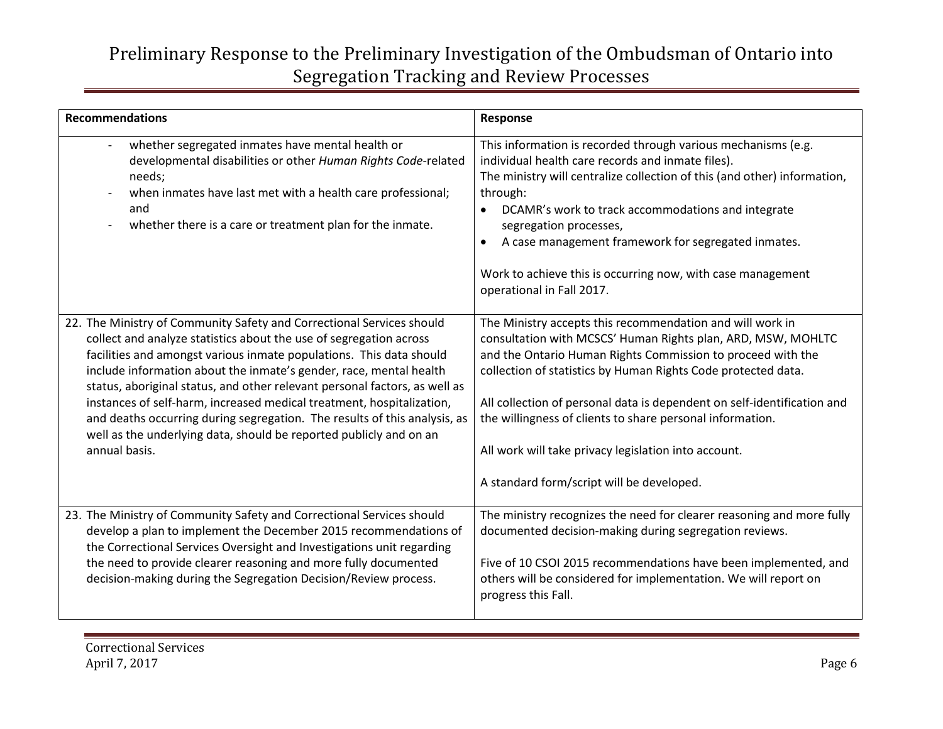| <b>Recommendations</b>                                                                                                                                                                                                                                                                                                                                                                                                                                                                                                                                                                                              | Response                                                                                                                                                                                                                                                                                                                                                                                                                                                                                               |
|---------------------------------------------------------------------------------------------------------------------------------------------------------------------------------------------------------------------------------------------------------------------------------------------------------------------------------------------------------------------------------------------------------------------------------------------------------------------------------------------------------------------------------------------------------------------------------------------------------------------|--------------------------------------------------------------------------------------------------------------------------------------------------------------------------------------------------------------------------------------------------------------------------------------------------------------------------------------------------------------------------------------------------------------------------------------------------------------------------------------------------------|
| whether segregated inmates have mental health or<br>developmental disabilities or other Human Rights Code-related<br>needs;<br>when inmates have last met with a health care professional;<br>and<br>whether there is a care or treatment plan for the inmate.                                                                                                                                                                                                                                                                                                                                                      | This information is recorded through various mechanisms (e.g.<br>individual health care records and inmate files).<br>The ministry will centralize collection of this (and other) information,<br>through:<br>DCAMR's work to track accommodations and integrate<br>$\bullet$<br>segregation processes,<br>A case management framework for segregated inmates.<br>$\bullet$<br>Work to achieve this is occurring now, with case management<br>operational in Fall 2017.                                |
| 22. The Ministry of Community Safety and Correctional Services should<br>collect and analyze statistics about the use of segregation across<br>facilities and amongst various inmate populations. This data should<br>include information about the inmate's gender, race, mental health<br>status, aboriginal status, and other relevant personal factors, as well as<br>instances of self-harm, increased medical treatment, hospitalization,<br>and deaths occurring during segregation. The results of this analysis, as<br>well as the underlying data, should be reported publicly and on an<br>annual basis. | The Ministry accepts this recommendation and will work in<br>consultation with MCSCS' Human Rights plan, ARD, MSW, MOHLTC<br>and the Ontario Human Rights Commission to proceed with the<br>collection of statistics by Human Rights Code protected data.<br>All collection of personal data is dependent on self-identification and<br>the willingness of clients to share personal information.<br>All work will take privacy legislation into account.<br>A standard form/script will be developed. |
| 23. The Ministry of Community Safety and Correctional Services should<br>develop a plan to implement the December 2015 recommendations of<br>the Correctional Services Oversight and Investigations unit regarding<br>the need to provide clearer reasoning and more fully documented<br>decision-making during the Segregation Decision/Review process.                                                                                                                                                                                                                                                            | The ministry recognizes the need for clearer reasoning and more fully<br>documented decision-making during segregation reviews.<br>Five of 10 CSOI 2015 recommendations have been implemented, and<br>others will be considered for implementation. We will report on<br>progress this Fall.                                                                                                                                                                                                           |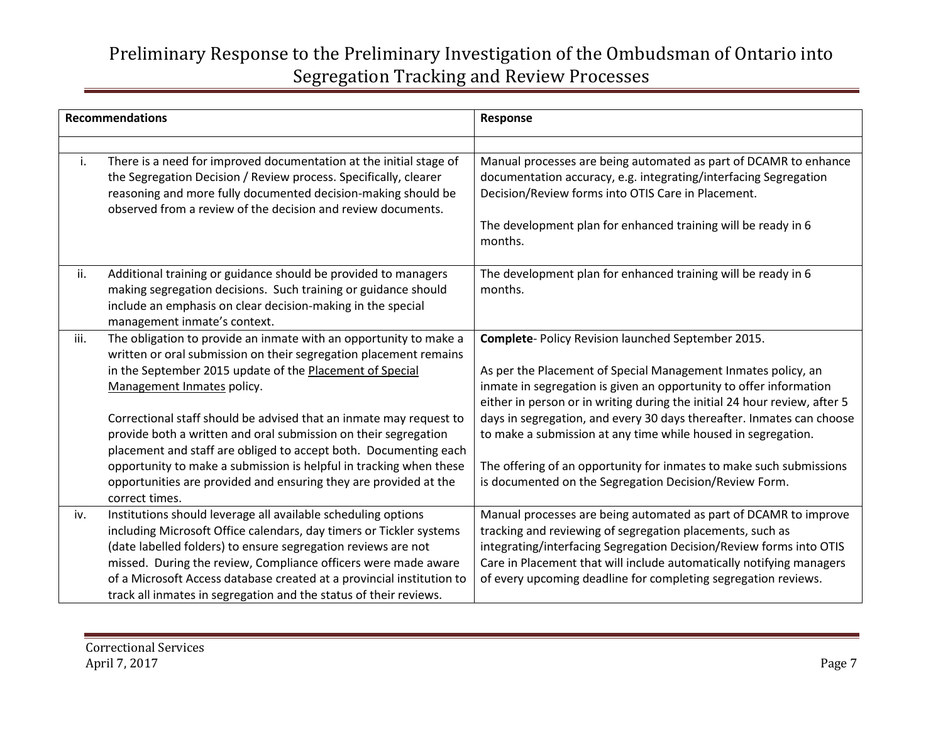| <b>Recommendations</b> |                                                                                                                                                                                                                                                                                                                                                                                                                                                                                                                                                                                                           | Response                                                                                                                                                                                                                                                                                                                                                                                                                                                                                                                                          |
|------------------------|-----------------------------------------------------------------------------------------------------------------------------------------------------------------------------------------------------------------------------------------------------------------------------------------------------------------------------------------------------------------------------------------------------------------------------------------------------------------------------------------------------------------------------------------------------------------------------------------------------------|---------------------------------------------------------------------------------------------------------------------------------------------------------------------------------------------------------------------------------------------------------------------------------------------------------------------------------------------------------------------------------------------------------------------------------------------------------------------------------------------------------------------------------------------------|
| i.                     | There is a need for improved documentation at the initial stage of<br>the Segregation Decision / Review process. Specifically, clearer<br>reasoning and more fully documented decision-making should be<br>observed from a review of the decision and review documents.                                                                                                                                                                                                                                                                                                                                   | Manual processes are being automated as part of DCAMR to enhance<br>documentation accuracy, e.g. integrating/interfacing Segregation<br>Decision/Review forms into OTIS Care in Placement.<br>The development plan for enhanced training will be ready in 6<br>months.                                                                                                                                                                                                                                                                            |
| ii.                    | Additional training or guidance should be provided to managers<br>making segregation decisions. Such training or guidance should<br>include an emphasis on clear decision-making in the special<br>management inmate's context.                                                                                                                                                                                                                                                                                                                                                                           | The development plan for enhanced training will be ready in 6<br>months.                                                                                                                                                                                                                                                                                                                                                                                                                                                                          |
| iii.                   | The obligation to provide an inmate with an opportunity to make a<br>written or oral submission on their segregation placement remains<br>in the September 2015 update of the Placement of Special<br>Management Inmates policy.<br>Correctional staff should be advised that an inmate may request to<br>provide both a written and oral submission on their segregation<br>placement and staff are obliged to accept both. Documenting each<br>opportunity to make a submission is helpful in tracking when these<br>opportunities are provided and ensuring they are provided at the<br>correct times. | Complete- Policy Revision launched September 2015.<br>As per the Placement of Special Management Inmates policy, an<br>inmate in segregation is given an opportunity to offer information<br>either in person or in writing during the initial 24 hour review, after 5<br>days in segregation, and every 30 days thereafter. Inmates can choose<br>to make a submission at any time while housed in segregation.<br>The offering of an opportunity for inmates to make such submissions<br>is documented on the Segregation Decision/Review Form. |
| iv.                    | Institutions should leverage all available scheduling options<br>including Microsoft Office calendars, day timers or Tickler systems<br>(date labelled folders) to ensure segregation reviews are not<br>missed. During the review, Compliance officers were made aware<br>of a Microsoft Access database created at a provincial institution to<br>track all inmates in segregation and the status of their reviews.                                                                                                                                                                                     | Manual processes are being automated as part of DCAMR to improve<br>tracking and reviewing of segregation placements, such as<br>integrating/interfacing Segregation Decision/Review forms into OTIS<br>Care in Placement that will include automatically notifying managers<br>of every upcoming deadline for completing segregation reviews.                                                                                                                                                                                                    |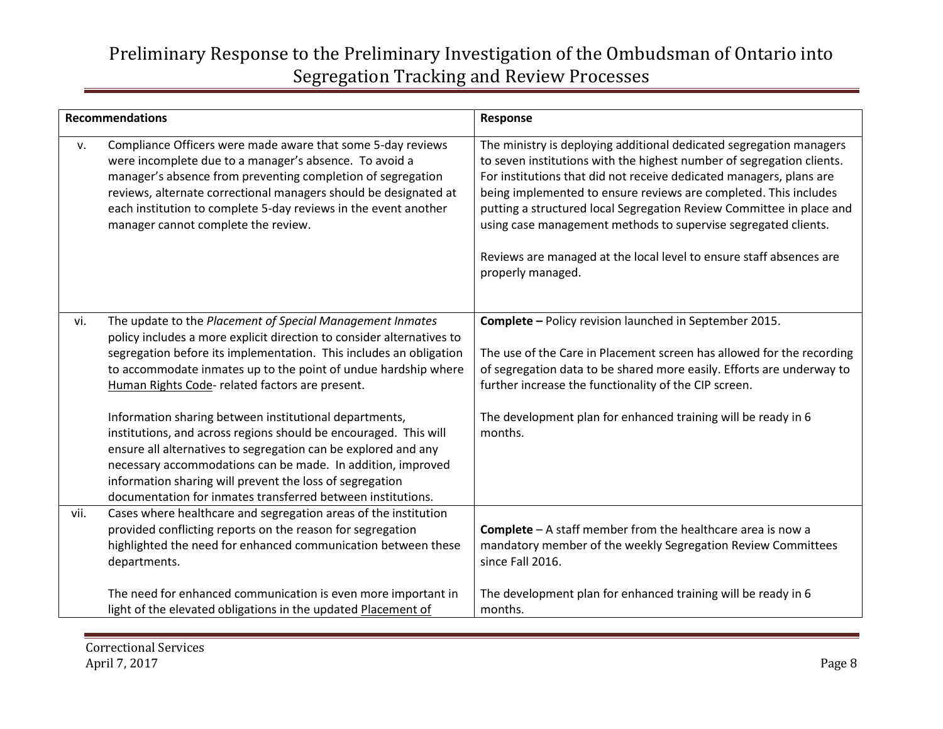| <b>Recommendations</b> |                                                                                                                                                                                                                                                                                                                                                                                        | Response                                                                                                                                                                                                                                                                                                                                                                                                                                                                                                                      |
|------------------------|----------------------------------------------------------------------------------------------------------------------------------------------------------------------------------------------------------------------------------------------------------------------------------------------------------------------------------------------------------------------------------------|-------------------------------------------------------------------------------------------------------------------------------------------------------------------------------------------------------------------------------------------------------------------------------------------------------------------------------------------------------------------------------------------------------------------------------------------------------------------------------------------------------------------------------|
| v.                     | Compliance Officers were made aware that some 5-day reviews<br>were incomplete due to a manager's absence. To avoid a<br>manager's absence from preventing completion of segregation<br>reviews, alternate correctional managers should be designated at<br>each institution to complete 5-day reviews in the event another<br>manager cannot complete the review.                     | The ministry is deploying additional dedicated segregation managers<br>to seven institutions with the highest number of segregation clients.<br>For institutions that did not receive dedicated managers, plans are<br>being implemented to ensure reviews are completed. This includes<br>putting a structured local Segregation Review Committee in place and<br>using case management methods to supervise segregated clients.<br>Reviews are managed at the local level to ensure staff absences are<br>properly managed. |
| vi.                    | The update to the Placement of Special Management Inmates<br>policy includes a more explicit direction to consider alternatives to<br>segregation before its implementation. This includes an obligation<br>to accommodate inmates up to the point of undue hardship where<br>Human Rights Code- related factors are present.                                                          | Complete - Policy revision launched in September 2015.<br>The use of the Care in Placement screen has allowed for the recording<br>of segregation data to be shared more easily. Efforts are underway to<br>further increase the functionality of the CIP screen.                                                                                                                                                                                                                                                             |
|                        | Information sharing between institutional departments,<br>institutions, and across regions should be encouraged. This will<br>ensure all alternatives to segregation can be explored and any<br>necessary accommodations can be made. In addition, improved<br>information sharing will prevent the loss of segregation<br>documentation for inmates transferred between institutions. | The development plan for enhanced training will be ready in 6<br>months.                                                                                                                                                                                                                                                                                                                                                                                                                                                      |
| vii.                   | Cases where healthcare and segregation areas of the institution<br>provided conflicting reports on the reason for segregation<br>highlighted the need for enhanced communication between these<br>departments.                                                                                                                                                                         | <b>Complete</b> $-$ A staff member from the healthcare area is now a<br>mandatory member of the weekly Segregation Review Committees<br>since Fall 2016.                                                                                                                                                                                                                                                                                                                                                                      |
|                        | The need for enhanced communication is even more important in<br>light of the elevated obligations in the updated Placement of                                                                                                                                                                                                                                                         | The development plan for enhanced training will be ready in 6<br>months.                                                                                                                                                                                                                                                                                                                                                                                                                                                      |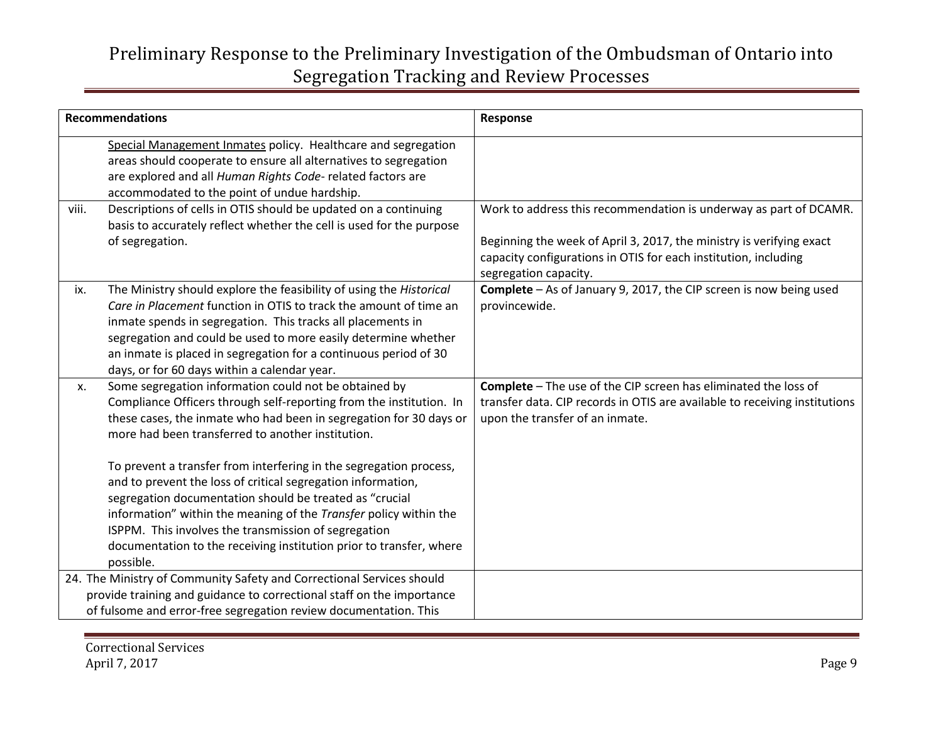| <b>Recommendations</b> |                                                                                                                                                                                                                                                                                                                                                                                                                                                                                                                                                                                                                                                                           | Response                                                                                                                                                                                                                              |
|------------------------|---------------------------------------------------------------------------------------------------------------------------------------------------------------------------------------------------------------------------------------------------------------------------------------------------------------------------------------------------------------------------------------------------------------------------------------------------------------------------------------------------------------------------------------------------------------------------------------------------------------------------------------------------------------------------|---------------------------------------------------------------------------------------------------------------------------------------------------------------------------------------------------------------------------------------|
|                        | Special Management Inmates policy. Healthcare and segregation<br>areas should cooperate to ensure all alternatives to segregation<br>are explored and all Human Rights Code- related factors are<br>accommodated to the point of undue hardship.                                                                                                                                                                                                                                                                                                                                                                                                                          |                                                                                                                                                                                                                                       |
| viii.                  | Descriptions of cells in OTIS should be updated on a continuing<br>basis to accurately reflect whether the cell is used for the purpose<br>of segregation.                                                                                                                                                                                                                                                                                                                                                                                                                                                                                                                | Work to address this recommendation is underway as part of DCAMR.<br>Beginning the week of April 3, 2017, the ministry is verifying exact<br>capacity configurations in OTIS for each institution, including<br>segregation capacity. |
| ix.                    | The Ministry should explore the feasibility of using the Historical<br>Care in Placement function in OTIS to track the amount of time an<br>inmate spends in segregation. This tracks all placements in<br>segregation and could be used to more easily determine whether<br>an inmate is placed in segregation for a continuous period of 30<br>days, or for 60 days within a calendar year.                                                                                                                                                                                                                                                                             | Complete - As of January 9, 2017, the CIP screen is now being used<br>provincewide.                                                                                                                                                   |
| X.                     | Some segregation information could not be obtained by<br>Compliance Officers through self-reporting from the institution. In<br>these cases, the inmate who had been in segregation for 30 days or<br>more had been transferred to another institution.<br>To prevent a transfer from interfering in the segregation process,<br>and to prevent the loss of critical segregation information,<br>segregation documentation should be treated as "crucial<br>information" within the meaning of the Transfer policy within the<br>ISPPM. This involves the transmission of segregation<br>documentation to the receiving institution prior to transfer, where<br>possible. | Complete - The use of the CIP screen has eliminated the loss of<br>transfer data. CIP records in OTIS are available to receiving institutions<br>upon the transfer of an inmate.                                                      |
|                        | 24. The Ministry of Community Safety and Correctional Services should<br>provide training and guidance to correctional staff on the importance<br>of fulsome and error-free segregation review documentation. This                                                                                                                                                                                                                                                                                                                                                                                                                                                        |                                                                                                                                                                                                                                       |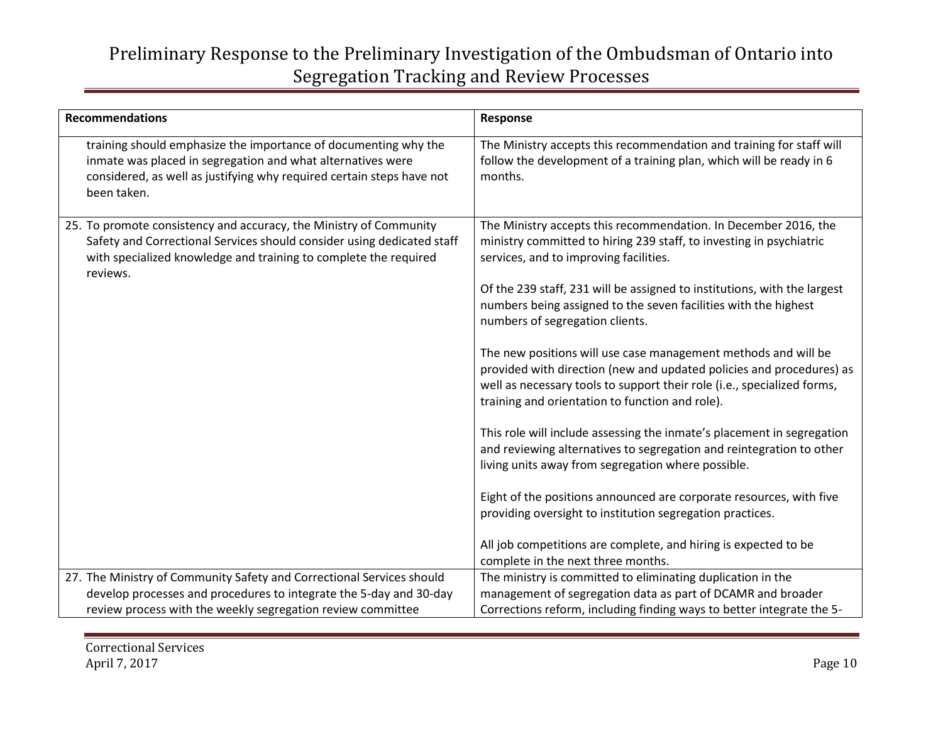| <b>Recommendations</b>                                                                                                                                                                                                       | Response                                                                                                                                                                                                                                                                                                                                                                                                                                                                                                                                                                                                                                                                                                                                                                                                                                                                                                                                                                                                                                                  |
|------------------------------------------------------------------------------------------------------------------------------------------------------------------------------------------------------------------------------|-----------------------------------------------------------------------------------------------------------------------------------------------------------------------------------------------------------------------------------------------------------------------------------------------------------------------------------------------------------------------------------------------------------------------------------------------------------------------------------------------------------------------------------------------------------------------------------------------------------------------------------------------------------------------------------------------------------------------------------------------------------------------------------------------------------------------------------------------------------------------------------------------------------------------------------------------------------------------------------------------------------------------------------------------------------|
| training should emphasize the importance of documenting why the<br>inmate was placed in segregation and what alternatives were<br>considered, as well as justifying why required certain steps have not<br>been taken.       | The Ministry accepts this recommendation and training for staff will<br>follow the development of a training plan, which will be ready in 6<br>months.                                                                                                                                                                                                                                                                                                                                                                                                                                                                                                                                                                                                                                                                                                                                                                                                                                                                                                    |
| 25. To promote consistency and accuracy, the Ministry of Community<br>Safety and Correctional Services should consider using dedicated staff<br>with specialized knowledge and training to complete the required<br>reviews. | The Ministry accepts this recommendation. In December 2016, the<br>ministry committed to hiring 239 staff, to investing in psychiatric<br>services, and to improving facilities.<br>Of the 239 staff, 231 will be assigned to institutions, with the largest<br>numbers being assigned to the seven facilities with the highest<br>numbers of segregation clients.<br>The new positions will use case management methods and will be<br>provided with direction (new and updated policies and procedures) as<br>well as necessary tools to support their role (i.e., specialized forms,<br>training and orientation to function and role).<br>This role will include assessing the inmate's placement in segregation<br>and reviewing alternatives to segregation and reintegration to other<br>living units away from segregation where possible.<br>Eight of the positions announced are corporate resources, with five<br>providing oversight to institution segregation practices.<br>All job competitions are complete, and hiring is expected to be |
|                                                                                                                                                                                                                              | complete in the next three months.                                                                                                                                                                                                                                                                                                                                                                                                                                                                                                                                                                                                                                                                                                                                                                                                                                                                                                                                                                                                                        |
| 27. The Ministry of Community Safety and Correctional Services should                                                                                                                                                        | The ministry is committed to eliminating duplication in the                                                                                                                                                                                                                                                                                                                                                                                                                                                                                                                                                                                                                                                                                                                                                                                                                                                                                                                                                                                               |
| develop processes and procedures to integrate the 5-day and 30-day                                                                                                                                                           | management of segregation data as part of DCAMR and broader                                                                                                                                                                                                                                                                                                                                                                                                                                                                                                                                                                                                                                                                                                                                                                                                                                                                                                                                                                                               |
| review process with the weekly segregation review committee                                                                                                                                                                  | Corrections reform, including finding ways to better integrate the 5-                                                                                                                                                                                                                                                                                                                                                                                                                                                                                                                                                                                                                                                                                                                                                                                                                                                                                                                                                                                     |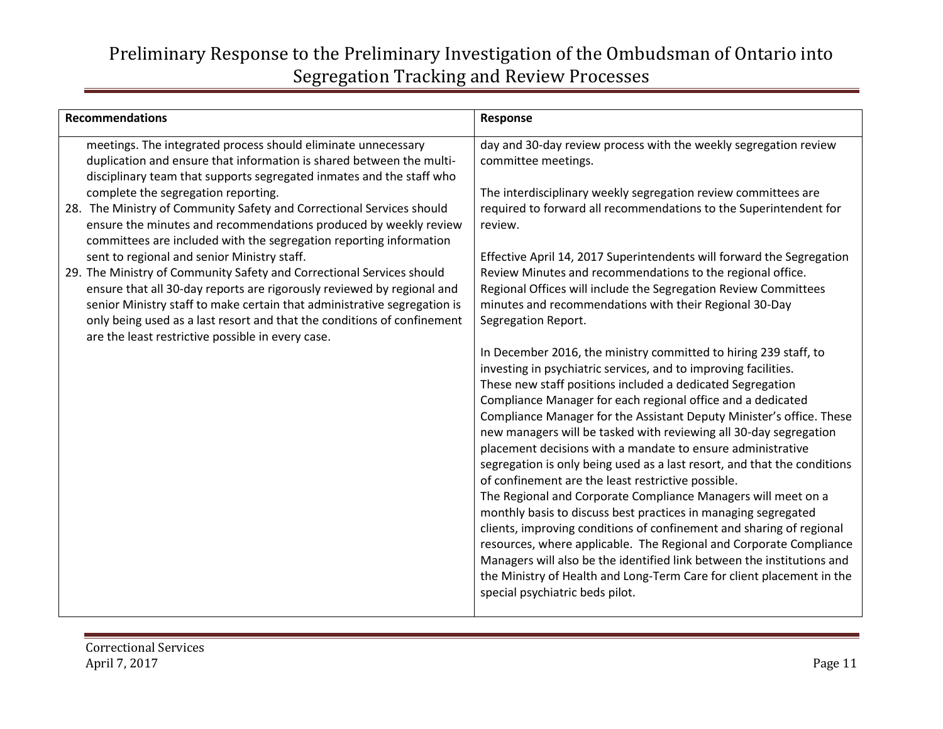| <b>Recommendations</b>                                                                                                                                                                                                                                                                                                                                                                                     | Response                                                                                                                                                                                                                                                                                                                                                                                                                                                                                                                                                                                                                                                                                                                                                                                                                                                                                                                                                                                                                                                                              |
|------------------------------------------------------------------------------------------------------------------------------------------------------------------------------------------------------------------------------------------------------------------------------------------------------------------------------------------------------------------------------------------------------------|---------------------------------------------------------------------------------------------------------------------------------------------------------------------------------------------------------------------------------------------------------------------------------------------------------------------------------------------------------------------------------------------------------------------------------------------------------------------------------------------------------------------------------------------------------------------------------------------------------------------------------------------------------------------------------------------------------------------------------------------------------------------------------------------------------------------------------------------------------------------------------------------------------------------------------------------------------------------------------------------------------------------------------------------------------------------------------------|
| meetings. The integrated process should eliminate unnecessary<br>duplication and ensure that information is shared between the multi-<br>disciplinary team that supports segregated inmates and the staff who<br>complete the segregation reporting.                                                                                                                                                       | day and 30-day review process with the weekly segregation review<br>committee meetings.<br>The interdisciplinary weekly segregation review committees are                                                                                                                                                                                                                                                                                                                                                                                                                                                                                                                                                                                                                                                                                                                                                                                                                                                                                                                             |
| 28. The Ministry of Community Safety and Correctional Services should<br>ensure the minutes and recommendations produced by weekly review<br>committees are included with the segregation reporting information                                                                                                                                                                                            | required to forward all recommendations to the Superintendent for<br>review.                                                                                                                                                                                                                                                                                                                                                                                                                                                                                                                                                                                                                                                                                                                                                                                                                                                                                                                                                                                                          |
| sent to regional and senior Ministry staff.<br>29. The Ministry of Community Safety and Correctional Services should<br>ensure that all 30-day reports are rigorously reviewed by regional and<br>senior Ministry staff to make certain that administrative segregation is<br>only being used as a last resort and that the conditions of confinement<br>are the least restrictive possible in every case. | Effective April 14, 2017 Superintendents will forward the Segregation<br>Review Minutes and recommendations to the regional office.<br>Regional Offices will include the Segregation Review Committees<br>minutes and recommendations with their Regional 30-Day<br>Segregation Report.                                                                                                                                                                                                                                                                                                                                                                                                                                                                                                                                                                                                                                                                                                                                                                                               |
|                                                                                                                                                                                                                                                                                                                                                                                                            | In December 2016, the ministry committed to hiring 239 staff, to<br>investing in psychiatric services, and to improving facilities.<br>These new staff positions included a dedicated Segregation<br>Compliance Manager for each regional office and a dedicated<br>Compliance Manager for the Assistant Deputy Minister's office. These<br>new managers will be tasked with reviewing all 30-day segregation<br>placement decisions with a mandate to ensure administrative<br>segregation is only being used as a last resort, and that the conditions<br>of confinement are the least restrictive possible.<br>The Regional and Corporate Compliance Managers will meet on a<br>monthly basis to discuss best practices in managing segregated<br>clients, improving conditions of confinement and sharing of regional<br>resources, where applicable. The Regional and Corporate Compliance<br>Managers will also be the identified link between the institutions and<br>the Ministry of Health and Long-Term Care for client placement in the<br>special psychiatric beds pilot. |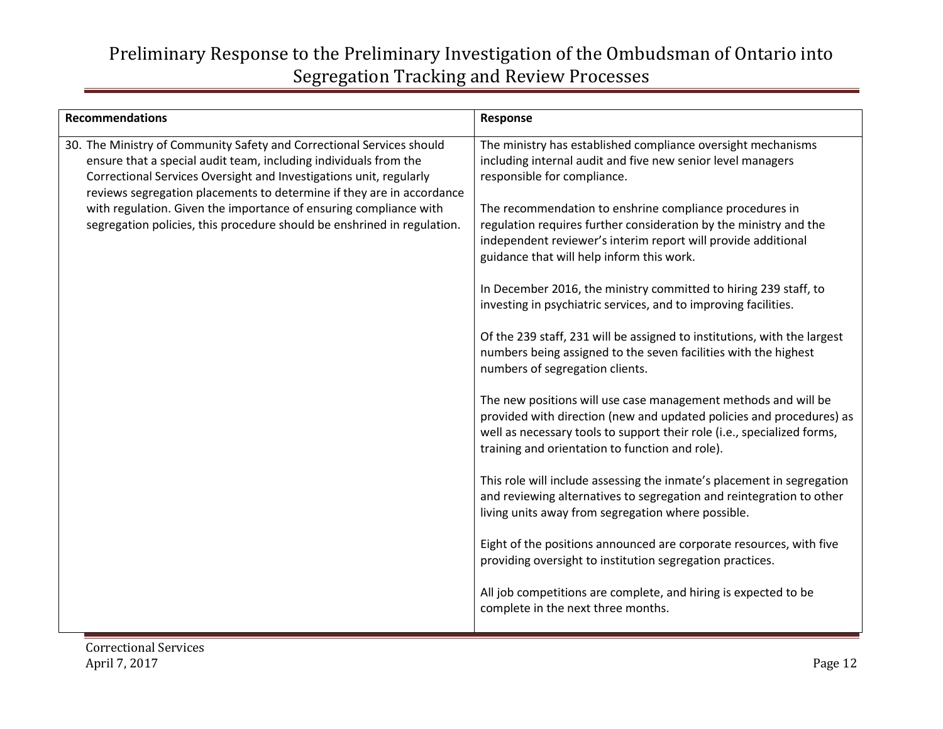| <b>Recommendations</b>                                                                                                                                                                                                                                                                                                                                                                                                                   | Response                                                                                                                                                                                                                                                                                                                                                                                                                                                                                                                                                                                                                                                                                                                                                                                                                                                                                                                                                                                                                                                                                                                                                                                                                                                                                                                                                                                                                                                       |
|------------------------------------------------------------------------------------------------------------------------------------------------------------------------------------------------------------------------------------------------------------------------------------------------------------------------------------------------------------------------------------------------------------------------------------------|----------------------------------------------------------------------------------------------------------------------------------------------------------------------------------------------------------------------------------------------------------------------------------------------------------------------------------------------------------------------------------------------------------------------------------------------------------------------------------------------------------------------------------------------------------------------------------------------------------------------------------------------------------------------------------------------------------------------------------------------------------------------------------------------------------------------------------------------------------------------------------------------------------------------------------------------------------------------------------------------------------------------------------------------------------------------------------------------------------------------------------------------------------------------------------------------------------------------------------------------------------------------------------------------------------------------------------------------------------------------------------------------------------------------------------------------------------------|
| 30. The Ministry of Community Safety and Correctional Services should<br>ensure that a special audit team, including individuals from the<br>Correctional Services Oversight and Investigations unit, regularly<br>reviews segregation placements to determine if they are in accordance<br>with regulation. Given the importance of ensuring compliance with<br>segregation policies, this procedure should be enshrined in regulation. | The ministry has established compliance oversight mechanisms<br>including internal audit and five new senior level managers<br>responsible for compliance.<br>The recommendation to enshrine compliance procedures in<br>regulation requires further consideration by the ministry and the<br>independent reviewer's interim report will provide additional<br>guidance that will help inform this work.<br>In December 2016, the ministry committed to hiring 239 staff, to<br>investing in psychiatric services, and to improving facilities.<br>Of the 239 staff, 231 will be assigned to institutions, with the largest<br>numbers being assigned to the seven facilities with the highest<br>numbers of segregation clients.<br>The new positions will use case management methods and will be<br>provided with direction (new and updated policies and procedures) as<br>well as necessary tools to support their role (i.e., specialized forms,<br>training and orientation to function and role).<br>This role will include assessing the inmate's placement in segregation<br>and reviewing alternatives to segregation and reintegration to other<br>living units away from segregation where possible.<br>Eight of the positions announced are corporate resources, with five<br>providing oversight to institution segregation practices.<br>All job competitions are complete, and hiring is expected to be<br>complete in the next three months. |